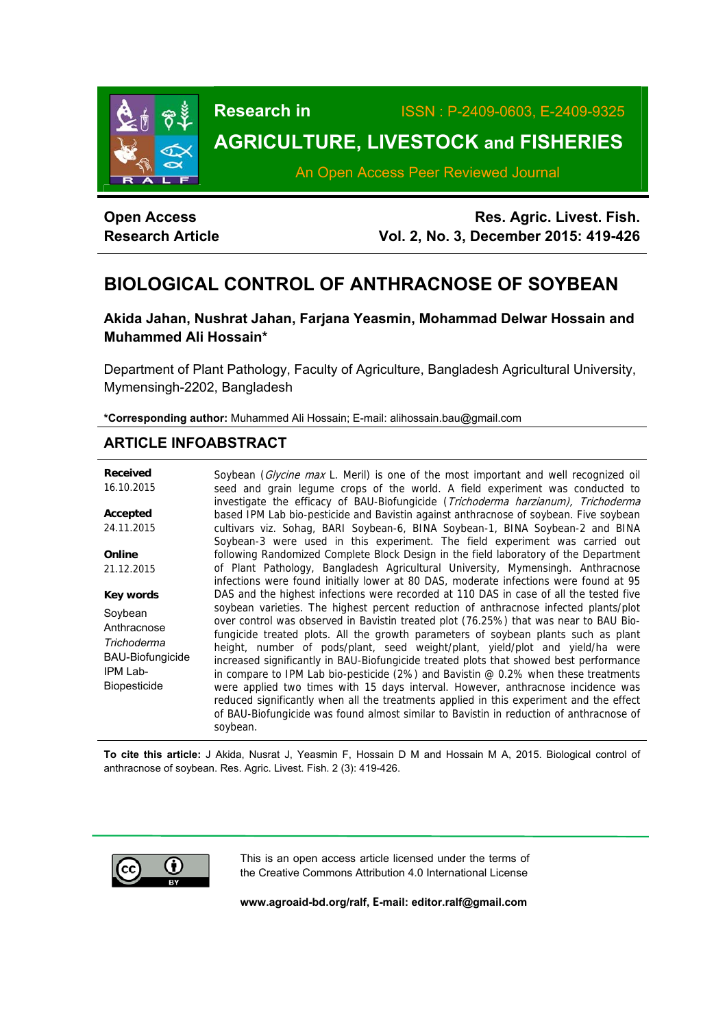

**Research in** ISSN : P-2409-0603, E-2409-9325

# **AGRICULTURE, LIVESTOCK and FISHERIES**

An Open Access Peer Reviewed Journal

| <b>Open Access</b>      |  |  |  |  |  |  |
|-------------------------|--|--|--|--|--|--|
| <b>Research Article</b> |  |  |  |  |  |  |

**Res. Agric. Livest. Fish. Vol. 2, No. 3, December 2015: 419-426**

# **BIOLOGICAL CONTROL OF ANTHRACNOSE OF SOYBEAN**

# **Akida Jahan, Nushrat Jahan, Farjana Yeasmin, Mohammad Delwar Hossain and Muhammed Ali Hossain\***

Department of Plant Pathology, Faculty of Agriculture, Bangladesh Agricultural University, Mymensingh-2202, Bangladesh

**\*Corresponding author:** Muhammed Ali Hossain; E-mail: alihossain.bau@gmail.com

# **ARTICLE INFOABSTRACT**

**Received**  16.10.2015 **Accepted**  24.11.2015 **Online**  21.12.2015 **Key words** Soybean **Anthracnose** *Trichoderma*  BAU-Biofungicide IPM Lab-Biopesticide Soybean (Glycine max L. Meril) is one of the most important and well recognized oil seed and grain legume crops of the world. A field experiment was conducted to investigate the efficacy of BAU-Biofungicide (Trichoderma harzianum), Trichoderma based IPM Lab bio-pesticide and Bavistin against anthracnose of soybean. Five soybean cultivars viz. Sohag, BARI Soybean-6, BINA Soybean-1, BINA Soybean-2 and BINA Soybean-3 were used in this experiment. The field experiment was carried out following Randomized Complete Block Design in the field laboratory of the Department of Plant Pathology, Bangladesh Agricultural University, Mymensingh. Anthracnose infections were found initially lower at 80 DAS, moderate infections were found at 95 DAS and the highest infections were recorded at 110 DAS in case of all the tested five soybean varieties. The highest percent reduction of anthracnose infected plants/plot over control was observed in Bavistin treated plot (76.25%) that was near to BAU Biofungicide treated plots. All the growth parameters of soybean plants such as plant height, number of pods/plant, seed weight/plant, yield/plot and yield/ha were increased significantly in BAU-Biofungicide treated plots that showed best performance in compare to IPM Lab bio-pesticide (2%) and Bavistin  $@0.2\%$  when these treatments were applied two times with 15 days interval. However, anthracnose incidence was reduced significantly when all the treatments applied in this experiment and the effect of BAU-Biofungicide was found almost similar to Bavistin in reduction of anthracnose of soybean.

**To cite this article:** J Akida, Nusrat J, Yeasmin F, Hossain D M and Hossain M A, 2015. Biological control of anthracnose of soybean. Res. Agric. Livest. Fish. 2 (3): 419-426.



This is an open access article licensed under the terms of the Creative Commons Attribution 4.0 International License

**www.agroaid-bd.org/ralf, E-mail: editor.ralf@gmail.com**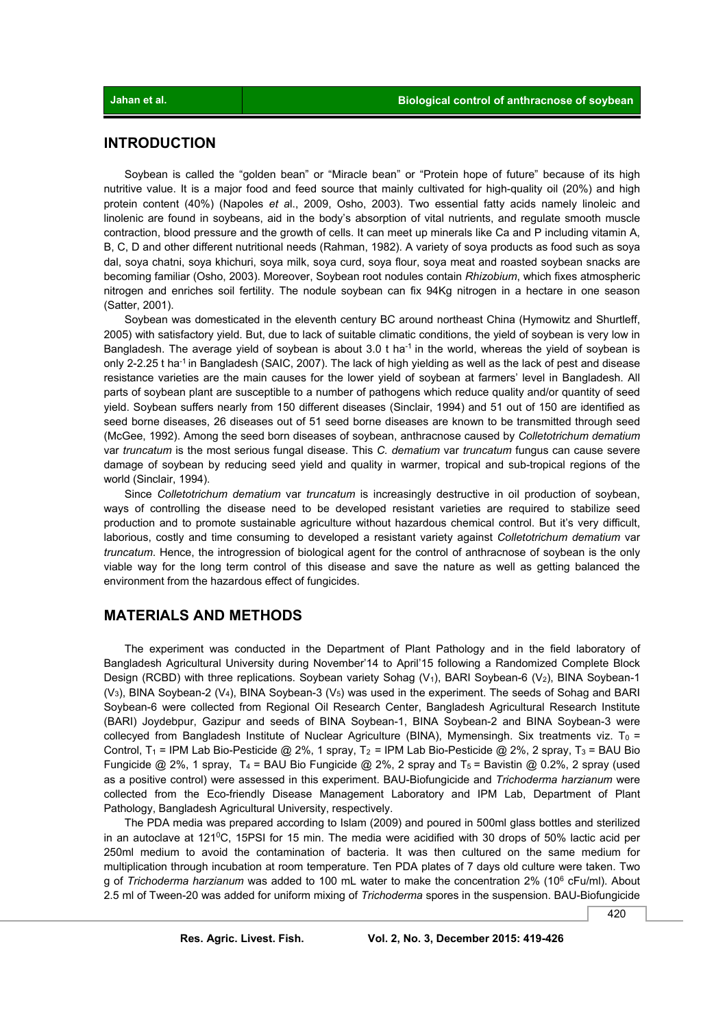# **INTRODUCTION**

 Soybean is called the "golden bean" or "Miracle bean" or "Protein hope of future" because of its high nutritive value. It is a major food and feed source that mainly cultivated for high-quality oil (20%) and high protein content (40%) (Napoles *et a*l., 2009, Osho, 2003). Two essential fatty acids namely linoleic and linolenic are found in soybeans, aid in the body's absorption of vital nutrients, and regulate smooth muscle contraction, blood pressure and the growth of cells. It can meet up minerals like Ca and P including vitamin A, B, C, D and other different nutritional needs (Rahman, 1982). A variety of soya products as food such as soya dal, soya chatni, soya khichuri, soya milk, soya curd, soya flour, soya meat and roasted soybean snacks are becoming familiar (Osho, 2003). Moreover, Soybean root nodules contain *Rhizobium*, which fixes atmospheric nitrogen and enriches soil fertility. The nodule soybean can fix 94Kg nitrogen in a hectare in one season (Satter, 2001).

 Soybean was domesticated in the eleventh century BC around northeast China (Hymowitz and Shurtleff, 2005) with satisfactory yield. But, due to lack of suitable climatic conditions, the yield of soybean is very low in Bangladesh. The average yield of soybean is about 3.0 t ha<sup>-1</sup> in the world, whereas the yield of soybean is only 2-2.25 t ha<sup>-1</sup> in Bangladesh (SAIC, 2007). The lack of high yielding as well as the lack of pest and disease resistance varieties are the main causes for the lower yield of soybean at farmers' level in Bangladesh. All parts of soybean plant are susceptible to a number of pathogens which reduce quality and/or quantity of seed yield. Soybean suffers nearly from 150 different diseases (Sinclair, 1994) and 51 out of 150 are identified as seed borne diseases, 26 diseases out of 51 seed borne diseases are known to be transmitted through seed (McGee, 1992). Among the seed born diseases of soybean, anthracnose caused by *Colletotrichum dematium*  var *truncatum* is the most serious fungal disease. This *C. dematium* var *truncatum* fungus can cause severe damage of soybean by reducing seed yield and quality in warmer, tropical and sub-tropical regions of the world (Sinclair, 1994).

 Since *Colletotrichum dematium* var *truncatum* is increasingly destructive in oil production of soybean, ways of controlling the disease need to be developed resistant varieties are required to stabilize seed production and to promote sustainable agriculture without hazardous chemical control. But it's very difficult, laborious, costly and time consuming to developed a resistant variety against *Colletotrichum dematium* var *truncatum*. Hence, the introgression of biological agent for the control of anthracnose of soybean is the only viable way for the long term control of this disease and save the nature as well as getting balanced the environment from the hazardous effect of fungicides.

# **MATERIALS AND METHODS**

 The experiment was conducted in the Department of Plant Pathology and in the field laboratory of Bangladesh Agricultural University during November'14 to April'15 following a Randomized Complete Block Design (RCBD) with three replications. Soybean variety Sohag (V<sub>1</sub>), BARI Soybean-6 (V<sub>2</sub>), BINA Soybean-1 (V3), BINA Soybean-2 (V4), BINA Soybean-3 (V5) was used in the experiment. The seeds of Sohag and BARI Soybean-6 were collected from Regional Oil Research Center, Bangladesh Agricultural Research Institute (BARI) Joydebpur, Gazipur and seeds of BINA Soybean-1, BINA Soybean-2 and BINA Soybean-3 were collecyed from Bangladesh Institute of Nuclear Agriculture (BINA), Mymensingh. Six treatments viz. T<sub>0</sub> = Control, T<sub>1</sub> = IPM Lab Bio-Pesticide @ 2%, 1 spray, T<sub>2</sub> = IPM Lab Bio-Pesticide @ 2%, 2 spray, T<sub>3</sub> = BAU Bio Fungicide @ 2%, 1 spray, T<sub>4</sub> = BAU Bio Fungicide @ 2%, 2 spray and T<sub>5</sub> = Bavistin @ 0.2%, 2 spray (used as a positive control) were assessed in this experiment. BAU-Biofungicide and *Trichoderma harzianum* were collected from the Eco-friendly Disease Management Laboratory and IPM Lab, Department of Plant Pathology, Bangladesh Agricultural University, respectively.

 The PDA media was prepared according to Islam (2009) and poured in 500ml glass bottles and sterilized in an autoclave at 121 $\degree$ C, 15PSI for 15 min. The media were acidified with 30 drops of 50% lactic acid per 250ml medium to avoid the contamination of bacteria. It was then cultured on the same medium for multiplication through incubation at room temperature. Ten PDA plates of 7 days old culture were taken. Two g of *Trichoderma harzianum* was added to 100 mL water to make the concentration 2% (106 cFu/ml). About 2.5 ml of Tween-20 was added for uniform mixing of *Trichoderma* spores in the suspension. BAU-Biofungicide

420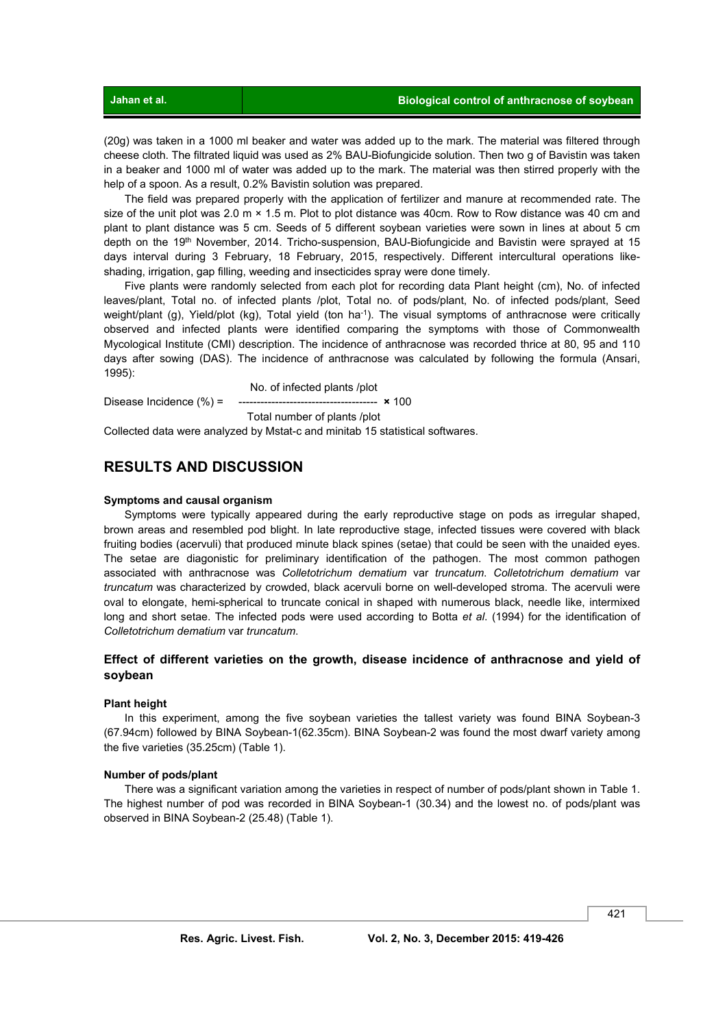(20g) was taken in a 1000 ml beaker and water was added up to the mark. The material was filtered through cheese cloth. The filtrated liquid was used as 2% BAU-Biofungicide solution. Then two g of Bavistin was taken in a beaker and 1000 ml of water was added up to the mark. The material was then stirred properly with the help of a spoon. As a result, 0.2% Bavistin solution was prepared.

 The field was prepared properly with the application of fertilizer and manure at recommended rate. The size of the unit plot was 2.0 m × 1.5 m. Plot to plot distance was 40cm. Row to Row distance was 40 cm and plant to plant distance was 5 cm. Seeds of 5 different soybean varieties were sown in lines at about 5 cm depth on the 19<sup>th</sup> November, 2014. Tricho-suspension, BAU-Biofungicide and Bavistin were sprayed at 15 days interval during 3 February, 18 February, 2015, respectively. Different intercultural operations likeshading, irrigation, gap filling, weeding and insecticides spray were done timely.

 Five plants were randomly selected from each plot for recording data Plant height (cm), No. of infected leaves/plant, Total no. of infected plants /plot, Total no. of pods/plant, No. of infected pods/plant, Seed weight/plant (g), Yield/plot (kg), Total yield (ton ha<sup>-1</sup>). The visual symptoms of anthracnose were critically observed and infected plants were identified comparing the symptoms with those of Commonwealth Mycological Institute (CMI) description. The incidence of anthracnose was recorded thrice at 80, 95 and 110 days after sowing (DAS). The incidence of anthracnose was calculated by following the formula (Ansari, 1995):

No. of infected plants /plot

Disease Incidence (%) = -------------------------------------- **×** 100

Total number of plants /plot

Collected data were analyzed by Mstat-c and minitab 15 statistical softwares.

# **RESULTS AND DISCUSSION**

#### **Symptoms and causal organism**

 Symptoms were typically appeared during the early reproductive stage on pods as irregular shaped, brown areas and resembled pod blight. In late reproductive stage, infected tissues were covered with black fruiting bodies (acervuli) that produced minute black spines (setae) that could be seen with the unaided eyes. The setae are diagonistic for preliminary identification of the pathogen. The most common pathogen associated with anthracnose was *Colletotrichum dematium* var *truncatum*. *Colletotrichum dematium* var *truncatum* was characterized by crowded, black acervuli borne on well-developed stroma. The acervuli were oval to elongate, hemi-spherical to truncate conical in shaped with numerous black, needle like, intermixed long and short setae. The infected pods were used according to Botta *et al*. (1994) for the identification of *Colletotrichum dematium* var *truncatum*.

#### **Effect of different varieties on the growth, disease incidence of anthracnose and yield of soybean**

#### **Plant height**

 In this experiment, among the five soybean varieties the tallest variety was found BINA Soybean-3 (67.94cm) followed by BINA Soybean-1(62.35cm). BINA Soybean-2 was found the most dwarf variety among the five varieties (35.25cm) (Table 1).

#### **Number of pods/plant**

 There was a significant variation among the varieties in respect of number of pods/plant shown in Table 1. The highest number of pod was recorded in BINA Soybean-1 (30.34) and the lowest no. of pods/plant was observed in BINA Soybean-2 (25.48) (Table 1).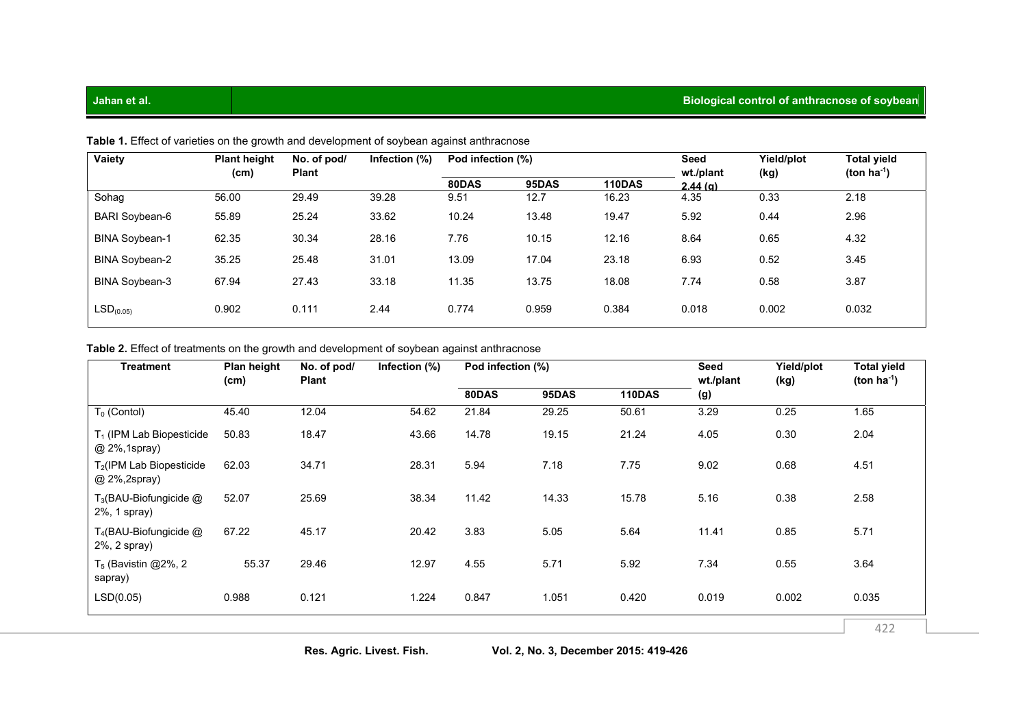| Vaiety                | <b>Plant height</b> | No. of pod/  | Infection (%) | Pod infection (%) |       |               | Seed                 | Yield/plot | Total yield      |
|-----------------------|---------------------|--------------|---------------|-------------------|-------|---------------|----------------------|------------|------------------|
|                       | (cm)                | <b>Plant</b> |               | 80DAS             | 95DAS | <b>110DAS</b> | wt./plant<br>2.44(g) | (kg)       | (ton $ha^{-1}$ ) |
| Sohaq                 | 56.00               | 29.49        | 39.28         | 9.51              | 12.7  | 16.23         | 4.35                 | 0.33       | 2.18             |
| <b>BARI Soybean-6</b> | 55.89               | 25.24        | 33.62         | 10.24             | 13.48 | 19.47         | 5.92                 | 0.44       | 2.96             |
| <b>BINA Soybean-1</b> | 62.35               | 30.34        | 28.16         | 7.76              | 10.15 | 12.16         | 8.64                 | 0.65       | 4.32             |
| <b>BINA Soybean-2</b> | 35.25               | 25.48        | 31.01         | 13.09             | 17.04 | 23.18         | 6.93                 | 0.52       | 3.45             |
| <b>BINA Soybean-3</b> | 67.94               | 27.43        | 33.18         | 11.35             | 13.75 | 18.08         | 7.74                 | 0.58       | 3.87             |
| LSD <sub>(0.05)</sub> | 0.902               | 0.111        | 2.44          | 0.774             | 0.959 | 0.384         | 0.018                | 0.002      | 0.032            |

Table 1. Effect of varieties on the growth and development of soybean against anthracnose

### Table 2. Effect of treatments on the growth and development of soybean against anthracnose

| <b>Treatment</b>                             | Plan height<br>(cm) | No. of pod/<br><b>Plant</b> | Infection (%) | Pod infection (%) |       |               | Seed<br>wt./plant | Yield/plot<br>(kg) | <b>Total yield</b><br>(ton $ha^{-1}$ ) |
|----------------------------------------------|---------------------|-----------------------------|---------------|-------------------|-------|---------------|-------------------|--------------------|----------------------------------------|
|                                              |                     |                             |               | 80DAS             | 95DAS | <b>110DAS</b> | (g)               |                    |                                        |
| $T_0$ (Contol)                               | 45.40               | 12.04                       | 54.62         | 21.84             | 29.25 | 50.61         | 3.29              | 0.25               | 1.65                                   |
| $T_1$ (IPM Lab Biopesticide<br>@ 2%, 1spray) | 50.83               | 18.47                       | 43.66         | 14.78             | 19.15 | 21.24         | 4.05              | 0.30               | 2.04                                   |
| $T_2$ (IPM Lab Biopesticide<br>@ 2%, 2spray) | 62.03               | 34.71                       | 28.31         | 5.94              | 7.18  | 7.75          | 9.02              | 0.68               | 4.51                                   |
| $T_3$ (BAU-Biofungicide $@$<br>2%, 1 spray)  | 52.07               | 25.69                       | 38.34         | 11.42             | 14.33 | 15.78         | 5.16              | 0.38               | 2.58                                   |
| $T_4$ (BAU-Biofungicide $@$<br>2%, 2 spray)  | 67.22               | 45.17                       | 20.42         | 3.83              | 5.05  | 5.64          | 11.41             | 0.85               | 5.71                                   |
| $T_5$ (Bavistin @2%, 2<br>sapray)            | 55.37               | 29.46                       | 12.97         | 4.55              | 5.71  | 5.92          | 7.34              | 0.55               | 3.64                                   |
| LSD(0.05)                                    | 0.988               | 0.121                       | 1.224         | 0.847             | 1.051 | 0.420         | 0.019             | 0.002              | 0.035                                  |
|                                              |                     |                             |               |                   |       |               |                   |                    | 422                                    |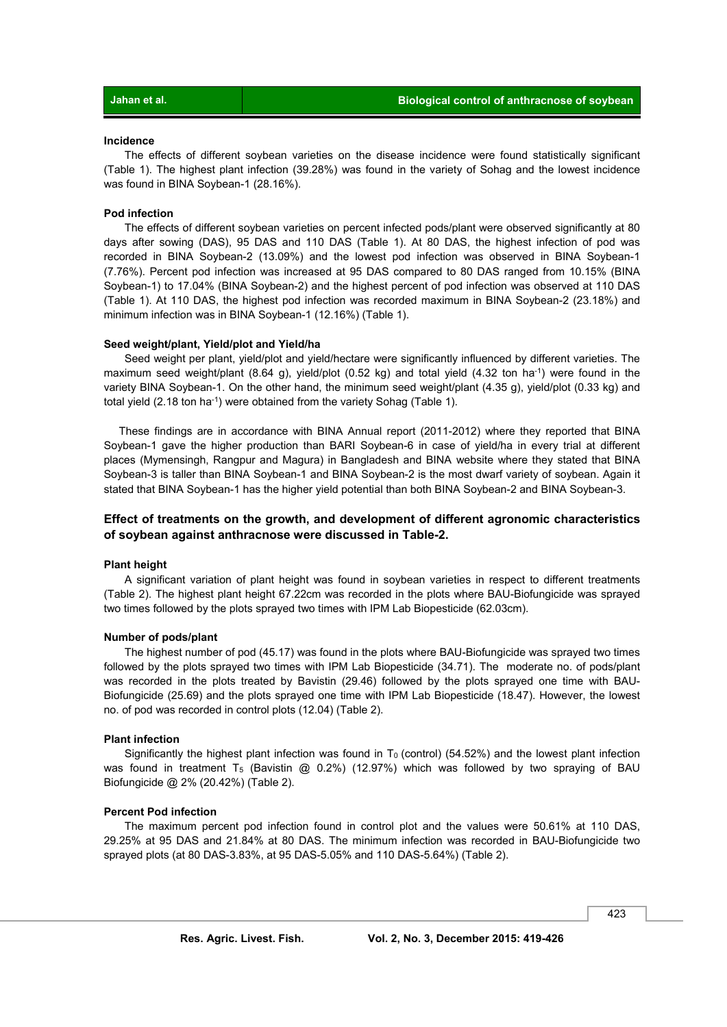#### **Incidence**

 The effects of different soybean varieties on the disease incidence were found statistically significant (Table 1). The highest plant infection (39.28%) was found in the variety of Sohag and the lowest incidence was found in BINA Soybean-1 (28.16%).

#### **Pod infection**

 The effects of different soybean varieties on percent infected pods/plant were observed significantly at 80 days after sowing (DAS), 95 DAS and 110 DAS (Table 1). At 80 DAS, the highest infection of pod was recorded in BINA Soybean-2 (13.09%) and the lowest pod infection was observed in BINA Soybean-1 (7.76%). Percent pod infection was increased at 95 DAS compared to 80 DAS ranged from 10.15% (BINA Soybean-1) to 17.04% (BINA Soybean-2) and the highest percent of pod infection was observed at 110 DAS (Table 1). At 110 DAS, the highest pod infection was recorded maximum in BINA Soybean-2 (23.18%) and minimum infection was in BINA Soybean-1 (12.16%) (Table 1).

#### **Seed weight/plant, Yield/plot and Yield/ha**

 Seed weight per plant, yield/plot and yield/hectare were significantly influenced by different varieties. The maximum seed weight/plant (8.64 g), yield/plot (0.52 kg) and total yield (4.32 ton ha<sup>-1</sup>) were found in the variety BINA Soybean-1. On the other hand, the minimum seed weight/plant (4.35 g), yield/plot (0.33 kg) and total yield (2.18 ton ha<sup>-1</sup>) were obtained from the variety Sohag (Table 1).

 These findings are in accordance with BINA Annual report (2011-2012) where they reported that BINA Soybean-1 gave the higher production than BARI Soybean-6 in case of yield/ha in every trial at different places (Mymensingh, Rangpur and Magura) in Bangladesh and BINA website where they stated that BINA Soybean-3 is taller than BINA Soybean-1 and BINA Soybean-2 is the most dwarf variety of soybean. Again it stated that BINA Soybean-1 has the higher yield potential than both BINA Soybean-2 and BINA Soybean-3.

### **Effect of treatments on the growth, and development of different agronomic characteristics of soybean against anthracnose were discussed in Table-2.**

#### **Plant height**

 A significant variation of plant height was found in soybean varieties in respect to different treatments (Table 2). The highest plant height 67.22cm was recorded in the plots where BAU-Biofungicide was sprayed two times followed by the plots sprayed two times with IPM Lab Biopesticide (62.03cm).

#### **Number of pods/plant**

 The highest number of pod (45.17) was found in the plots where BAU-Biofungicide was sprayed two times followed by the plots sprayed two times with IPM Lab Biopesticide (34.71). The moderate no. of pods/plant was recorded in the plots treated by Bavistin (29.46) followed by the plots sprayed one time with BAU-Biofungicide (25.69) and the plots sprayed one time with IPM Lab Biopesticide (18.47). However, the lowest no. of pod was recorded in control plots (12.04) (Table 2).

#### **Plant infection**

Significantly the highest plant infection was found in  $T_0$  (control) (54.52%) and the lowest plant infection was found in treatment T<sub>5</sub> (Bavistin  $@$  0.2%) (12.97%) which was followed by two spraying of BAU Biofungicide @ 2% (20.42%) (Table 2).

#### **Percent Pod infection**

 The maximum percent pod infection found in control plot and the values were 50.61% at 110 DAS, 29.25% at 95 DAS and 21.84% at 80 DAS. The minimum infection was recorded in BAU-Biofungicide two sprayed plots (at 80 DAS-3.83%, at 95 DAS-5.05% and 110 DAS-5.64%) (Table 2).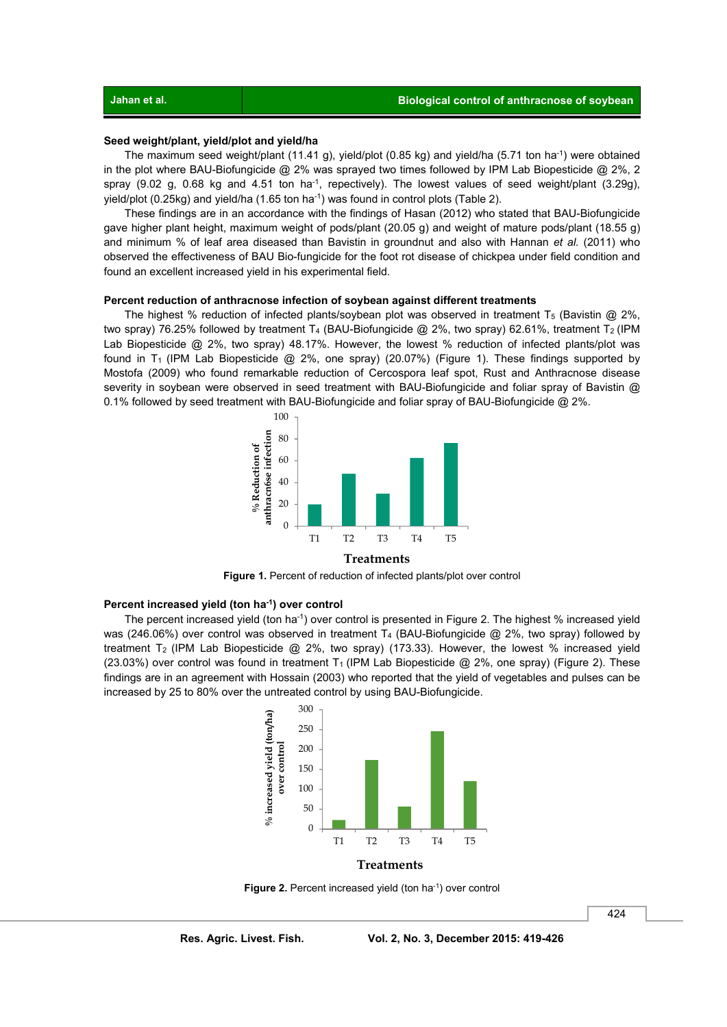## **Seed weight/plant, yield/plot and yield/ha**

 The maximum seed weight/plant (11.41 g), yield/plot (0.85 kg) and yield/ha (5.71 ton ha-1) were obtained in the plot where BAU-Biofungicide @ 2% was sprayed two times followed by IPM Lab Biopesticide @ 2%, 2 spray (9.02 g, 0.68 kg and 4.51 ton ha<sup>-1</sup>, repectively). The lowest values of seed weight/plant (3.29g), yield/plot  $(0.25\text{kg})$  and yield/ha  $(1.65 \text{ ton ha}^{-1})$  was found in control plots (Table 2).

 These findings are in an accordance with the findings of Hasan (2012) who stated that BAU-Biofungicide gave higher plant height, maximum weight of pods/plant (20.05 g) and weight of mature pods/plant (18.55 g) and minimum % of leaf area diseased than Bavistin in groundnut and also with Hannan *et al.* (2011) who observed the effectiveness of BAU Bio-fungicide for the foot rot disease of chickpea under field condition and found an excellent increased yield in his experimental field.

#### **Percent reduction of anthracnose infection of soybean against different treatments**

The highest % reduction of infected plants/soybean plot was observed in treatment  $T_5$  (Bavistin @ 2%, two spray) 76.25% followed by treatment T<sub>4</sub> (BAU-Biofungicide  $@$  2%, two spray) 62.61%, treatment T<sub>2</sub> (IPM Lab Biopesticide @ 2%, two spray) 48.17%. However, the lowest % reduction of infected plants/plot was found in T<sub>1</sub> (IPM Lab Biopesticide  $@2\%$ , one spray) (20.07%) (Figure 1). These findings supported by Mostofa (2009) who found remarkable reduction of Cercospora leaf spot, Rust and Anthracnose disease severity in soybean were observed in seed treatment with BAU-Biofungicide and foliar spray of Bavistin @ 0.1% followed by seed treatment with BAU-Biofungicide and foliar spray of BAU-Biofungicide @ 2%.



Figure 1. Percent of reduction of infected plants/plot over control

#### **Percent increased yield (ton ha-1) over control**

The percent increased yield (ton ha<sup>-1</sup>) over control is presented in Figure 2. The highest % increased yield was (246.06%) over control was observed in treatment T<sub>4</sub> (BAU-Biofungicide @ 2%, two spray) followed by treatment T<sub>2</sub> (IPM Lab Biopesticide  $@$  2%, two spray) (173.33). However, the lowest % increased yield (23.03%) over control was found in treatment T<sub>1</sub> (IPM Lab Biopesticide @ 2%, one spray) (Figure 2). These findings are in an agreement with Hossain (2003) who reported that the yield of vegetables and pulses can be increased by 25 to 80% over the untreated control by using BAU-Biofungicide.



Figure 2. Percent increased yield (ton ha<sup>-1</sup>) over control

424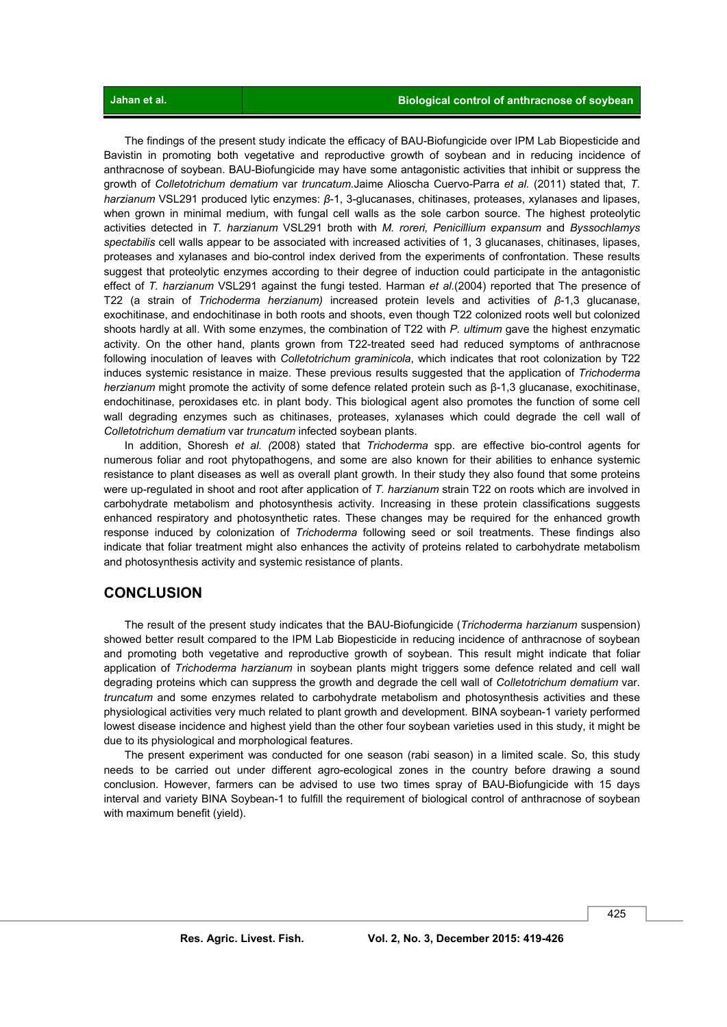The findings of the present study indicate the efficacy of BAU-Biofungicide over IPM Lab Biopesticide and Bavistin in promoting both vegetative and reproductive growth of soybean and in reducing incidence of anthracnose of soybean. BAU-Biofungicide may have some antagonistic activities that inhibit or suppress the growth of *Colletotrichum dematium* var *truncatum.*Jaime Alioscha Cuervo-Parra *et al.* (2011) stated that, *T. harzianum* VSL291 produced lytic enzymes: *β*-1, 3-glucanases, chitinases, proteases, xylanases and lipases, when grown in minimal medium, with fungal cell walls as the sole carbon source. The highest proteolytic activities detected in *T. harzianum* VSL291 broth with *M. roreri, Penicillium expansum* and *Byssochlamys spectabilis* cell walls appear to be associated with increased activities of 1, 3 glucanases, chitinases, lipases, proteases and xylanases and bio-control index derived from the experiments of confrontation. These results suggest that proteolytic enzymes according to their degree of induction could participate in the antagonistic effect of *T. harzianum* VSL291 against the fungi tested. Harman *et al.*(2004) reported that The presence of T22 (a strain of *Trichoderma herzianum)* increased protein levels and activities of *β*-1,3 glucanase, exochitinase, and endochitinase in both roots and shoots, even though T22 colonized roots well but colonized shoots hardly at all. With some enzymes, the combination of T22 with *P. ultimum* gave the highest enzymatic activity. On the other hand, plants grown from T22-treated seed had reduced symptoms of anthracnose following inoculation of leaves with *Colletotrichum graminicola*, which indicates that root colonization by T22 induces systemic resistance in maize. These previous results suggested that the application of *Trichoderma herzianum* might promote the activity of some defence related protein such as β-1,3 glucanase, exochitinase, endochitinase, peroxidases etc. in plant body. This biological agent also promotes the function of some cell wall degrading enzymes such as chitinases, proteases, xylanases which could degrade the cell wall of *Colletotrichum dematium* var *truncatum* infected soybean plants.

In addition, Shoresh *et al. (*2008) stated that *Trichoderma* spp. are effective bio-control agents for numerous foliar and root phytopathogens, and some are also known for their abilities to enhance systemic resistance to plant diseases as well as overall plant growth. In their study they also found that some proteins were up-regulated in shoot and root after application of *T. harzianum* strain T22 on roots which are involved in carbohydrate metabolism and photosynthesis activity. Increasing in these protein classifications suggests enhanced respiratory and photosynthetic rates. These changes may be required for the enhanced growth response induced by colonization of *Trichoderma* following seed or soil treatments. These findings also indicate that foliar treatment might also enhances the activity of proteins related to carbohydrate metabolism and photosynthesis activity and systemic resistance of plants.

# **CONCLUSION**

 The result of the present study indicates that the BAU-Biofungicide (*Trichoderma harzianum* suspension) showed better result compared to the IPM Lab Biopesticide in reducing incidence of anthracnose of soybean and promoting both vegetative and reproductive growth of soybean. This result might indicate that foliar application of *Trichoderma harzianum* in soybean plants might triggers some defence related and cell wall degrading proteins which can suppress the growth and degrade the cell wall of *Colletotrichum dematium* var. *truncatum* and some enzymes related to carbohydrate metabolism and photosynthesis activities and these physiological activities very much related to plant growth and development. BINA soybean-1 variety performed lowest disease incidence and highest yield than the other four soybean varieties used in this study, it might be due to its physiological and morphological features.

 The present experiment was conducted for one season (rabi season) in a limited scale. So, this study needs to be carried out under different agro-ecological zones in the country before drawing a sound conclusion. However, farmers can be advised to use two times spray of BAU-Biofungicide with 15 days interval and variety BINA Soybean-1 to fulfill the requirement of biological control of anthracnose of soybean with maximum benefit (yield).